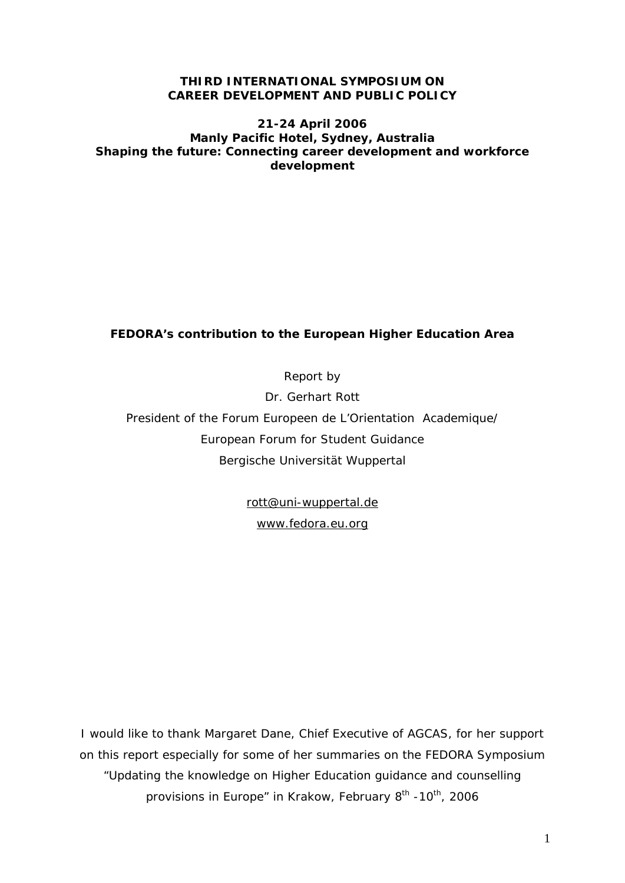### **THIRD INTERNATIONAL SYMPOSIUM ON CAREER DEVELOPMENT AND PUBLIC POLICY**

### **21-24 April 2006 Manly Pacific Hotel, Sydney, Australia Shaping the future: Connecting career development and workforce development**

# **FEDORA's contribution to the European Higher Education Area**

Report by

Dr. Gerhart Rott

President of the Forum Europeen de L'Orientation Academique/ European Forum for Student Guidance Bergische Universität Wuppertal

[rott@uni-wuppertal.de](mailto:rott@uni-wuppertal.de)

[www.fedora.eu.org](http://www.fedora.eu.org/)

I would like to thank Margaret Dane, Chief Executive of AGCAS, for her support on this report especially for some of her summaries on the FEDORA Symposium "Updating the knowledge on Higher Education guidance and counselling provisions in Europe" in Krakow, February 8<sup>th</sup> -10<sup>th</sup>, 2006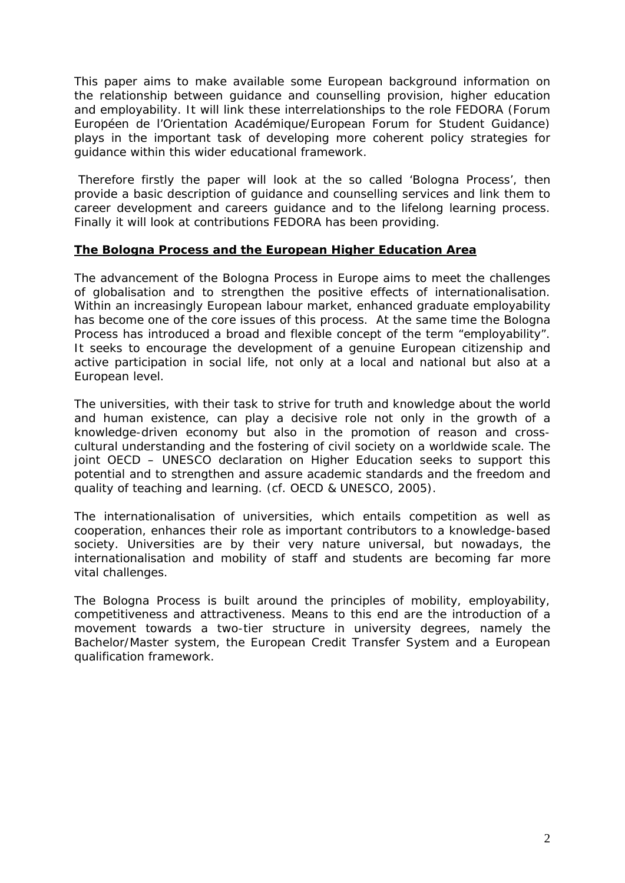This paper aims to make available some European background information on the relationship between guidance and counselling provision, higher education and employability. It will link these interrelationships to the role FEDORA (Forum Européen de l'Orientation Académique/European Forum for Student Guidance) plays in the important task of developing more coherent policy strategies for guidance within this wider educational framework.

 Therefore firstly the paper will look at the so called 'Bologna Process', then provide a basic description of guidance and counselling services and link them to career development and careers guidance and to the lifelong learning process. Finally it will look at contributions FEDORA has been providing.

### **The Bologna Process and the European Higher Education Area**

The advancement of the Bologna Process in Europe aims to meet the challenges of globalisation and to strengthen the positive effects of internationalisation. Within an increasingly European labour market, enhanced graduate employability has become one of the core issues of this process. At the same time the Bologna Process has introduced a broad and flexible concept of the term "employability". It seeks to encourage the development of a genuine European citizenship and active participation in social life, not only at a local and national but also at a European level.

The universities, with their task to strive for truth and knowledge about the world and human existence, can play a decisive role not only in the growth of a knowledge-driven economy but also in the promotion of reason and crosscultural understanding and the fostering of civil society on a worldwide scale. The joint OECD – UNESCO declaration on Higher Education seeks to support this potential and to strengthen and assure academic standards and the freedom and quality of teaching and learning. (cf. OECD & UNESCO, 2005).

The internationalisation of universities, which entails competition as well as cooperation, enhances their role as important contributors to a knowledge-based society. Universities are by their very nature universal, but nowadays, the internationalisation and mobility of staff and students are becoming far more vital challenges.

The Bologna Process is built around the principles of mobility, employability, competitiveness and attractiveness. Means to this end are the introduction of a movement towards a two-tier structure in university degrees, namely the Bachelor/Master system, the European Credit Transfer System and a European qualification framework.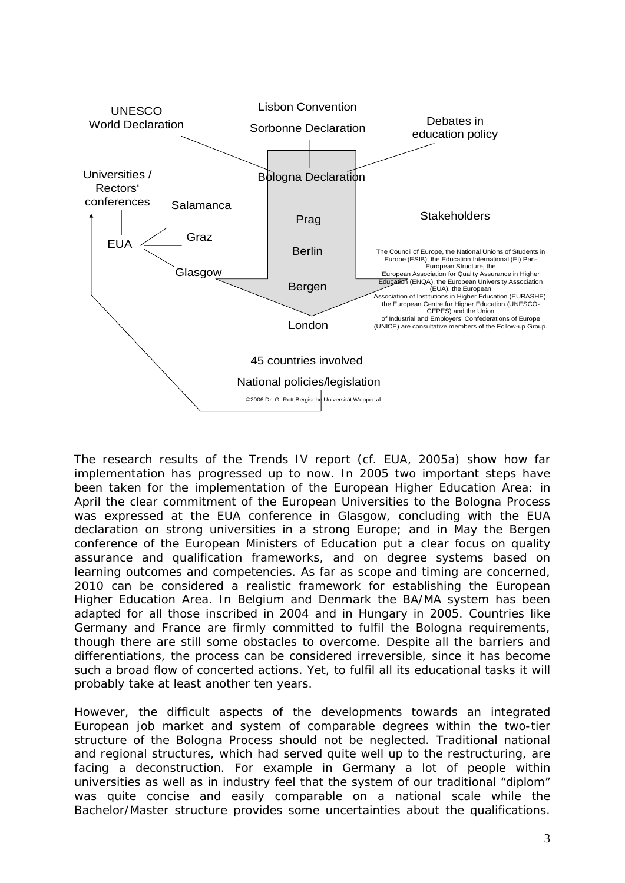

The research results of the Trends IV report (cf. EUA, 2005a) show how far implementation has progressed up to now. In 2005 two important steps have been taken for the implementation of the European Higher Education Area: in April the clear commitment of the European Universities to the Bologna Process was expressed at the EUA conference in Glasgow, concluding with the EUA declaration on strong universities in a strong Europe; and in May the Bergen conference of the European Ministers of Education put a clear focus on quality assurance and qualification frameworks, and on degree systems based on learning outcomes and competencies. As far as scope and timing are concerned, 2010 can be considered a realistic framework for establishing the European Higher Education Area. In Belgium and Denmark the BA/MA system has been adapted for all those inscribed in 2004 and in Hungary in 2005. Countries like Germany and France are firmly committed to fulfil the Bologna requirements, though there are still some obstacles to overcome. Despite all the barriers and differentiations, the process can be considered irreversible, since it has become such a broad flow of concerted actions. Yet, to fulfil all its educational tasks it will probably take at least another ten years.

However, the difficult aspects of the developments towards an integrated European job market and system of comparable degrees within the two-tier structure of the Bologna Process should not be neglected. Traditional national and regional structures, which had served quite well up to the restructuring, are facing a deconstruction. For example in Germany a lot of people within universities as well as in industry feel that the system of our traditional "diplom" was quite concise and easily comparable on a national scale while the Bachelor/Master structure provides some uncertainties about the qualifications.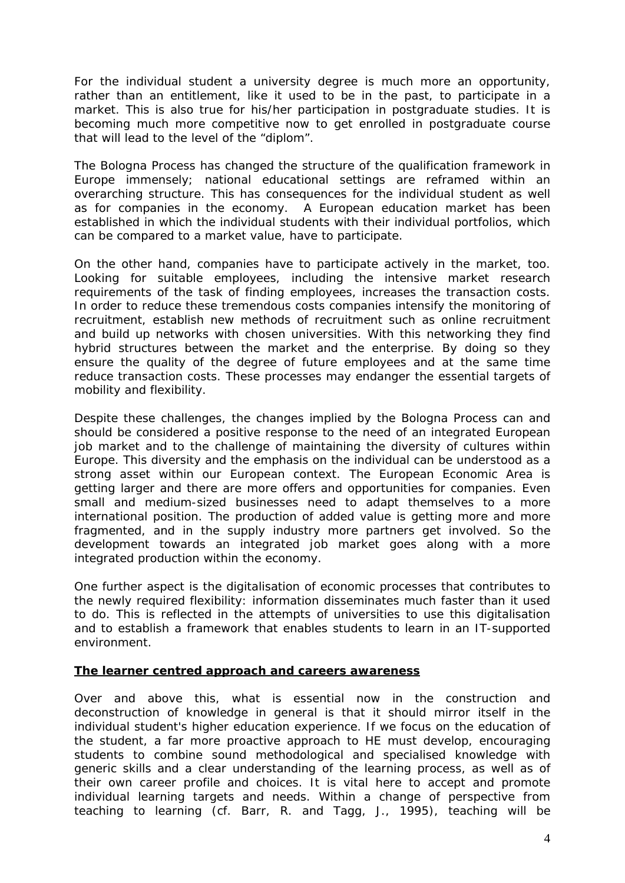For the individual student a university degree is much more an opportunity, rather than an entitlement, like it used to be in the past, to participate in a market. This is also true for his/her participation in postgraduate studies. It is becoming much more competitive now to get enrolled in postgraduate course that will lead to the level of the "diplom".

The Bologna Process has changed the structure of the qualification framework in Europe immensely; national educational settings are reframed within an overarching structure. This has consequences for the individual student as well as for companies in the economy. A European education market has been established in which the individual students with their individual portfolios, which can be compared to a market value, have to participate.

On the other hand, companies have to participate actively in the market, too. Looking for suitable employees, including the intensive market research requirements of the task of finding employees, increases the transaction costs. In order to reduce these tremendous costs companies intensify the monitoring of recruitment, establish new methods of recruitment such as online recruitment and build up networks with chosen universities. With this networking they find hybrid structures between the market and the enterprise. By doing so they ensure the quality of the degree of future employees and at the same time reduce transaction costs. These processes may endanger the essential targets of mobility and flexibility.

Despite these challenges, the changes implied by the Bologna Process can and should be considered a positive response to the need of an integrated European job market and to the challenge of maintaining the diversity of cultures within Europe. This diversity and the emphasis on the individual can be understood as a strong asset within our European context. The European Economic Area is getting larger and there are more offers and opportunities for companies. Even small and medium-sized businesses need to adapt themselves to a more international position. The production of added value is getting more and more fragmented, and in the supply industry more partners get involved. So the development towards an integrated job market goes along with a more integrated production within the economy.

One further aspect is the digitalisation of economic processes that contributes to the newly required flexibility: information disseminates much faster than it used to do. This is reflected in the attempts of universities to use this digitalisation and to establish a framework that enables students to learn in an IT-supported environment.

### **The learner centred approach and careers awareness**

Over and above this, what is essential now in the construction and deconstruction of knowledge in general is that it should mirror itself in the individual student's higher education experience. If we focus on the education of the student, a far more proactive approach to HE must develop, encouraging students to combine sound methodological and specialised knowledge with generic skills and a clear understanding of the learning process, as well as of their own career profile and choices. It is vital here to accept and promote individual learning targets and needs. Within a change of perspective from teaching to learning (cf. Barr, R. and Tagg, J., 1995), teaching will be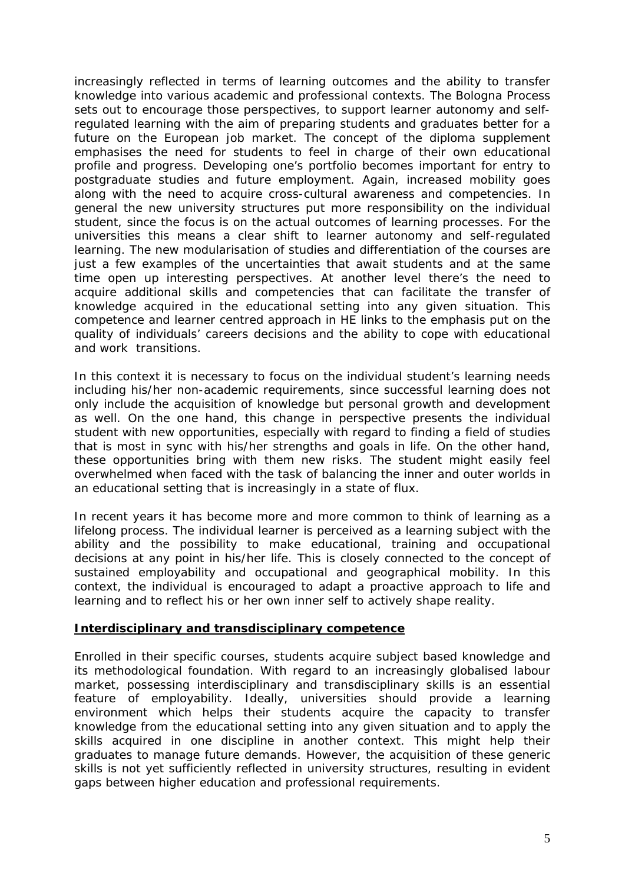increasingly reflected in terms of learning outcomes and the ability to transfer knowledge into various academic and professional contexts. The Bologna Process sets out to encourage those perspectives, to support learner autonomy and selfregulated learning with the aim of preparing students and graduates better for a future on the European job market. The concept of the diploma supplement emphasises the need for students to feel in charge of their own educational profile and progress. Developing one's portfolio becomes important for entry to postgraduate studies and future employment. Again, increased mobility goes along with the need to acquire cross-cultural awareness and competencies. In general the new university structures put more responsibility on the *individual*  student, since the focus is on the actual outcomes of learning processes. For the universities this means a clear shift to learner autonomy and self-regulated learning. The new modularisation of studies and differentiation of the courses are just a few examples of the uncertainties that await students and at the same time open up interesting perspectives. At another level there's the need to acquire additional skills and competencies that can facilitate the transfer of knowledge acquired in the educational setting into any given situation. This competence and learner centred approach in HE links to the emphasis put on the quality of individuals' careers decisions and the ability to cope with educational and work transitions.

In this context it is necessary to focus on the individual student's learning needs including his/her non-academic requirements, since successful learning does not only include the acquisition of knowledge but personal growth and development as well. On the one hand, this change in perspective presents the individual student with new opportunities, especially with regard to finding a field of studies that is most in sync with his/her strengths and goals in life. On the other hand, these opportunities bring with them new risks. The student might easily feel overwhelmed when faced with the task of balancing the inner and outer worlds in an educational setting that is increasingly in a state of flux.

In recent years it has become more and more common to think of learning as a lifelong process. The individual learner is perceived as a learning subject with the ability and the possibility to make educational, training and occupational decisions at any point in his/her life. This is closely connected to the concept of sustained employability and occupational and geographical mobility. In this context, the individual is encouraged to adapt a proactive approach to life and learning and to reflect his or her own inner self to actively shape reality.

# **Interdisciplinary and transdisciplinary competence**

Enrolled in their specific courses, students acquire subject based knowledge and its methodological foundation. With regard to an increasingly globalised labour market, possessing interdisciplinary and transdisciplinary skills is an essential feature of employability. Ideally, universities should provide a learning environment which helps their students acquire the capacity to transfer knowledge from the educational setting into any given situation and to apply the skills acquired in one discipline in another context. This might help their graduates to manage future demands. However, the acquisition of these generic skills is not yet sufficiently reflected in university structures, resulting in evident gaps between higher education and professional requirements.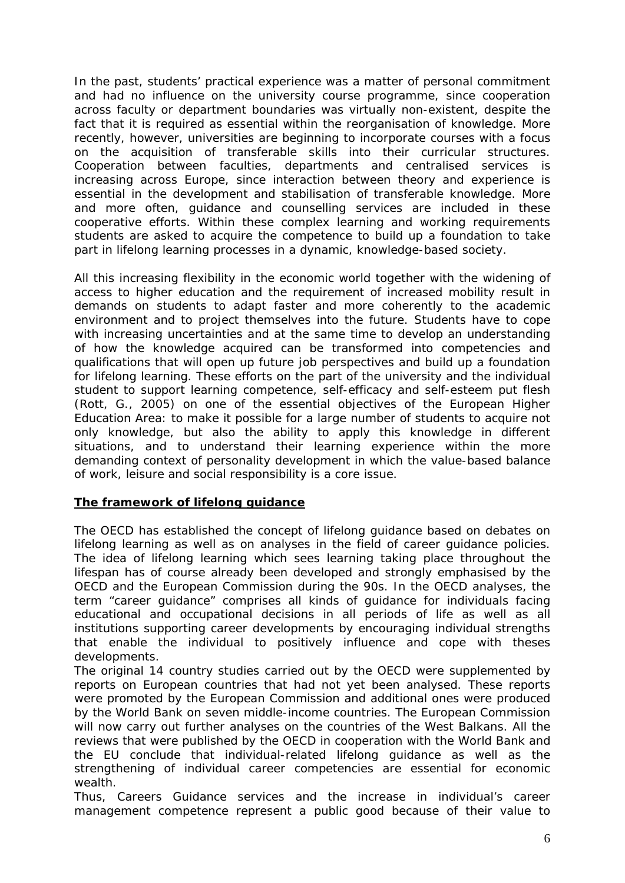In the past, students' practical experience was a matter of personal commitment and had no influence on the university course programme, since cooperation across faculty or department boundaries was virtually non-existent, despite the fact that it is required as essential within the reorganisation of knowledge. More recently, however, universities are beginning to incorporate courses with a focus on the acquisition of transferable skills into their curricular structures. Cooperation between faculties, departments and centralised services is increasing across Europe, since interaction between theory and experience is essential in the development and stabilisation of transferable knowledge. More and more often, guidance and counselling services are included in these cooperative efforts. Within these complex learning and working requirements students are asked to acquire the competence to build up a foundation to take part in lifelong learning processes in a dynamic, knowledge-based society.

All this increasing flexibility in the economic world together with the widening of access to higher education and the requirement of increased mobility result in demands on students to adapt faster and more coherently to the academic environment and to project themselves into the future. Students have to cope with increasing uncertainties and at the same time to develop an understanding of how the knowledge acquired can be transformed into competencies and qualifications that will open up future job perspectives and build up a foundation for lifelong learning. These efforts on the part of the university and the individual student to support learning competence, self-efficacy and self-esteem put flesh (Rott, G., 2005) on one of the essential objectives of the European Higher Education Area: to make it possible for a large number of students to acquire not only knowledge, but also the ability to apply this knowledge in different situations, and to understand their learning experience within the more demanding context of personality development in which the value-based balance of work, leisure and social responsibility is a core issue.

# **The framework of lifelong guidance**

The OECD has established the concept of lifelong guidance based on debates on lifelong learning as well as on analyses in the field of career guidance policies. The idea of lifelong learning which sees learning taking place throughout the lifespan has of course already been developed and strongly emphasised by the OECD and the European Commission during the 90s. In the OECD analyses, the term "career guidance" comprises all kinds of guidance for individuals facing educational and occupational decisions in all periods of life as well as all institutions supporting career developments by encouraging individual strengths that enable the individual to positively influence and cope with theses developments.

The original 14 country studies carried out by the OECD were supplemented by reports on European countries that had not yet been analysed. These reports were promoted by the European Commission and additional ones were produced by the World Bank on seven middle-income countries. The European Commission will now carry out further analyses on the countries of the West Balkans. All the reviews that were published by the OECD in cooperation with the World Bank and the EU conclude that individual-related lifelong guidance as well as the strengthening of individual career competencies are essential for economic wealth.

Thus, Careers Guidance services and the increase in individual's career management competence represent a public good because of their value to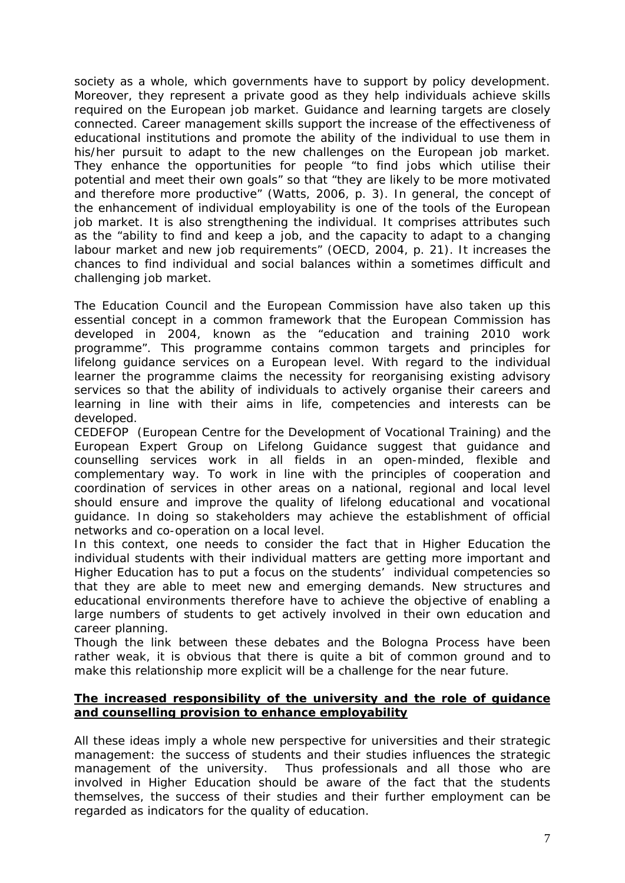society as a whole, which governments have to support by policy development. Moreover, they represent a private good as they help individuals achieve skills required on the European job market. Guidance and learning targets are closely connected. Career management skills support the increase of the effectiveness of educational institutions and promote the ability of the individual to use them in his/her pursuit to adapt to the new challenges on the European job market. They enhance the opportunities for people "to find jobs which utilise their potential and meet their own goals" so that "they are likely to be more motivated and therefore more productive" (Watts, 2006, p. 3). In general, the concept of the enhancement of individual employability is one of the tools of the European job market. It is also strengthening the individual. It comprises attributes such as the "ability to find and keep a job, and the capacity to adapt to a changing labour market and new job requirements" (OECD, 2004, p. 21). It increases the chances to find individual and social balances within a sometimes difficult and challenging job market.

The Education Council and the European Commission have also taken up this essential concept in a common framework that the European Commission has developed in 2004, known as the "education and training 2010 work programme". This programme contains common targets and principles for lifelong guidance services on a European level. With regard to the individual learner the programme claims the necessity for reorganising existing advisory services so that the ability of individuals to actively organise their careers and learning in line with their aims in life, competencies and interests can be developed.

CEDEFOP (European Centre for the Development of Vocational Training) and the European Expert Group on Lifelong Guidance suggest that guidance and counselling services work in all fields in an open-minded, flexible and complementary way. To work in line with the principles of cooperation and coordination of services in other areas on a national, regional and local level should ensure and improve the quality of lifelong educational and vocational guidance. In doing so stakeholders may achieve the establishment of official networks and co-operation on a local level.

In this context, one needs to consider the fact that in Higher Education the individual students with their individual matters are getting more important and Higher Education has to put a focus on the students' individual competencies so that they are able to meet new and emerging demands. New structures and educational environments therefore have to achieve the objective of enabling a large numbers of students to get actively involved in their own education and career planning.

Though the link between these debates and the Bologna Process have been rather weak, it is obvious that there is quite a bit of common ground and to make this relationship more explicit will be a challenge for the near future.

### **The increased responsibility of the university and the role of guidance and counselling provision to enhance employability**

All these ideas imply a whole new perspective for universities and their strategic management: the success of students and their studies influences the strategic management of the university. Thus professionals and all those who are involved in Higher Education should be aware of the fact that the students themselves, the success of their studies and their further employment can be regarded as indicators for the quality of education.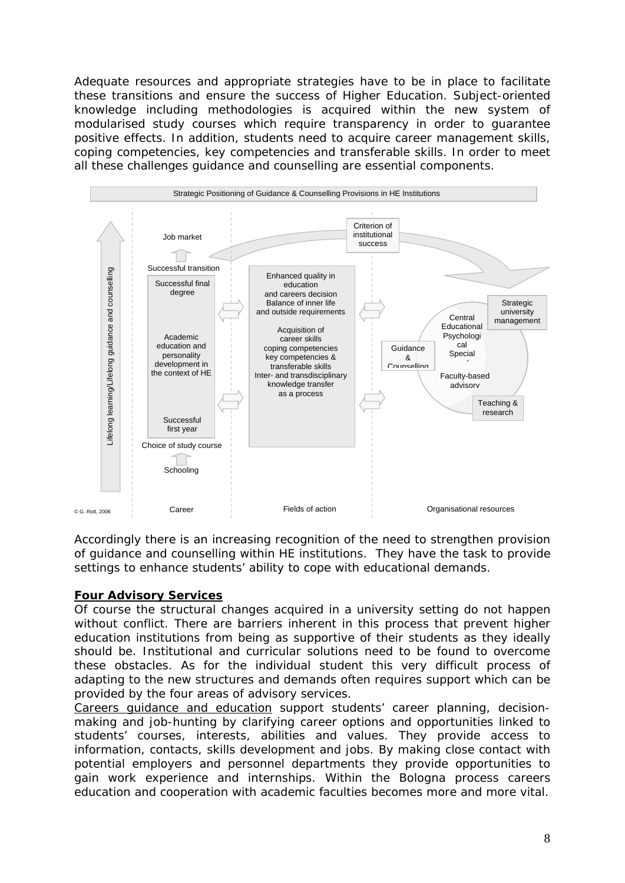Adequate resources and appropriate strategies have to be in place to facilitate these transitions and ensure the success of Higher Education. Subject-oriented knowledge including methodologies is acquired within the new system of modularised study courses which require transparency in order to guarantee positive effects. In addition, students need to acquire career management skills, coping competencies, key competencies and transferable skills. In order to meet all these challenges guidance and counselling are essential components.



Accordingly there is an increasing recognition of the need to strengthen provision of guidance and counselling within HE institutions. They have the task to provide settings to enhance students' ability to cope with educational demands.

# **Four Advisory Services**

Of course the structural changes acquired in a university setting do not happen without conflict. There are barriers inherent in this process that prevent higher education institutions from being as supportive of their students as they ideally should be. Institutional and curricular solutions need to be found to overcome these obstacles. As for the individual student this very difficult process of adapting to the new structures and demands often requires support which can be provided by the four areas of advisory services.

*Careers guidance and education* support students' career planning, decisionmaking and job-hunting by clarifying career options and opportunities linked to students' courses, interests, abilities and values. They provide access to information, contacts, skills development and jobs. By making close contact with potential employers and personnel departments they provide opportunities to gain work experience and internships. Within the Bologna process careers education and cooperation with academic faculties becomes more and more vital.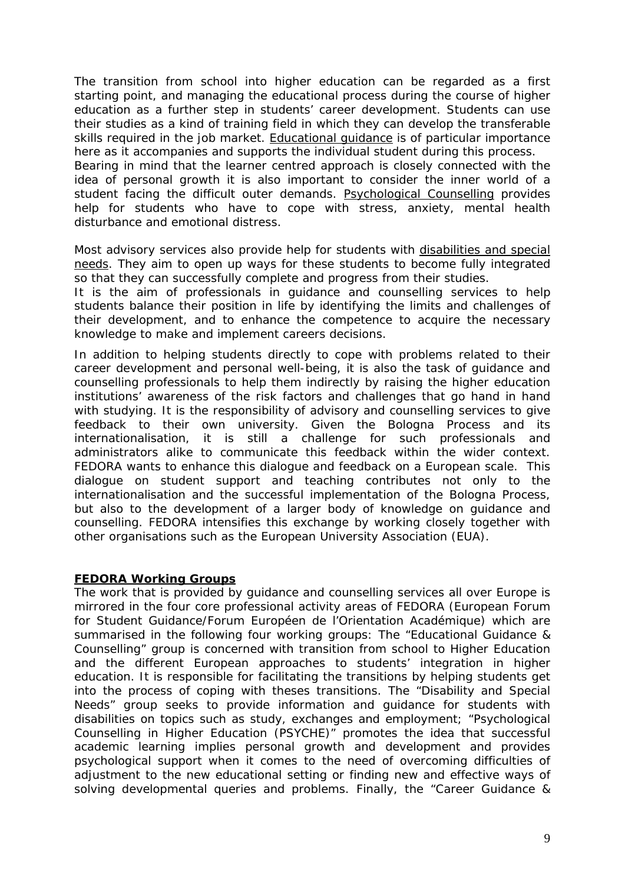The transition from school into higher education can be regarded as a first starting point, and managing the educational process during the course of higher education as a further step in students' career development. Students can use their studies as a kind of training field in which they can develop the transferable skills required in the job market. *Educational guidance* is of particular importance here as it accompanies and supports the individual student during this process.

Bearing in mind that the learner centred approach is closely connected with the idea of personal growth it is also important to consider the inner world of a student facing the difficult outer demands. *Psychological Counselling* provides help for students who have to cope with stress, anxiety, mental health disturbance and emotional distress.

Most advisory services also provide help for students with *disabilities and special needs*. They aim to open up ways for these students to become fully integrated so that they can successfully complete and progress from their studies.

It is the aim of professionals in guidance and counselling services to help students balance their position in life by identifying the limits and challenges of their development, and to enhance the competence to acquire the necessary knowledge to make and implement careers decisions.

In addition to helping students directly to cope with problems related to their career development and personal well-being, it is also the task of guidance and counselling professionals to help them indirectly by raising the higher education institutions' awareness of the risk factors and challenges that go hand in hand with studying. It is the responsibility of advisory and counselling services to give feedback to their own university. Given the Bologna Process and its internationalisation, it is still a challenge for such professionals and administrators alike to communicate this feedback within the wider context. FEDORA wants to enhance this dialogue and feedback on a European scale. This dialogue on student support and teaching contributes not only to the internationalisation and the successful implementation of the Bologna Process, but also to the development of a larger body of knowledge on guidance and counselling. FEDORA intensifies this exchange by working closely together with other organisations such as the European University Association (EUA).

# **FEDORA Working Groups**

The work that is provided by guidance and counselling services all over Europe is mirrored in the four core professional activity areas of FEDORA (European Forum for Student Guidance/Forum Européen de l'Orientation Académique) which are summarised in the following four working groups: The "Educational Guidance & Counselling" group is concerned with transition from school to Higher Education and the different European approaches to students' integration in higher education. It is responsible for facilitating the transitions by helping students get into the process of coping with theses transitions. The "Disability and Special Needs" group seeks to provide information and guidance for students with disabilities on topics such as study, exchanges and employment; "Psychological Counselling in Higher Education (PSYCHE)" promotes the idea that successful academic learning implies personal growth and development and provides psychological support when it comes to the need of overcoming difficulties of adjustment to the new educational setting or finding new and effective ways of solving developmental queries and problems. Finally, the "Career Guidance &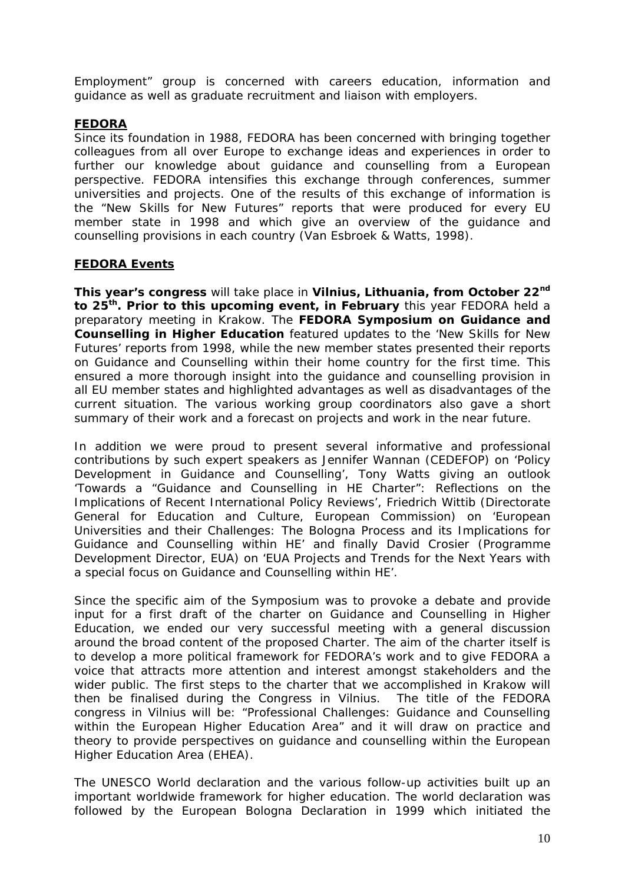Employment" group is concerned with careers education, information and guidance as well as graduate recruitment and liaison with employers.

# **FEDORA**

Since its foundation in 1988, FEDORA has been concerned with bringing together colleagues from all over Europe to exchange ideas and experiences in order to further our knowledge about guidance and counselling from a European perspective. FEDORA intensifies this exchange through conferences, summer universities and projects. One of the results of this exchange of information is the "New Skills for New Futures" reports that were produced for every EU member state in 1998 and which give an overview of the guidance and counselling provisions in each country (Van Esbroek & Watts, 1998).

### **FEDORA Events**

**This year's congress** will take place in **Vilnius, Lithuania, from October 22nd to 25th. Prior to this upcoming event, in February** this year FEDORA held a preparatory meeting in Krakow. The **FEDORA Symposium on Guidance and Counselling in Higher Education** featured updates to the 'New Skills for New Futures' reports from 1998, while the new member states presented their reports on Guidance and Counselling within their home country for the first time. This ensured a more thorough insight into the guidance and counselling provision in all EU member states and highlighted advantages as well as disadvantages of the current situation. The various working group coordinators also gave a short summary of their work and a forecast on projects and work in the near future.

In addition we were proud to present several informative and professional contributions by such expert speakers as Jennifer Wannan (CEDEFOP) on 'Policy Development in Guidance and Counselling', Tony Watts giving an outlook 'Towards a "Guidance and Counselling in HE Charter": Reflections on the Implications of Recent International Policy Reviews', Friedrich Wittib (Directorate General for Education and Culture, European Commission) on 'European Universities and their Challenges: The Bologna Process and its Implications for Guidance and Counselling within HE' and finally David Crosier (Programme Development Director, EUA) on 'EUA Projects and Trends for the Next Years with a special focus on Guidance and Counselling within HE'.

Since the specific aim of the Symposium was to provoke a debate and provide input for a first draft of the charter on Guidance and Counselling in Higher Education, we ended our very successful meeting with a general discussion around the broad content of the proposed Charter. The aim of the charter itself is to develop a more political framework for FEDORA's work and to give FEDORA a voice that attracts more attention and interest amongst stakeholders and the wider public. The first steps to the charter that we accomplished in Krakow will then be finalised during the Congress in Vilnius. The title of the FEDORA congress in Vilnius will be: "Professional Challenges: Guidance and Counselling within the European Higher Education Area" and it will draw on practice and theory to provide perspectives on guidance and counselling within the European Higher Education Area (EHEA).

The UNESCO World declaration and the various follow-up activities built up an important worldwide framework for higher education. The world declaration was followed by the European Bologna Declaration in 1999 which initiated the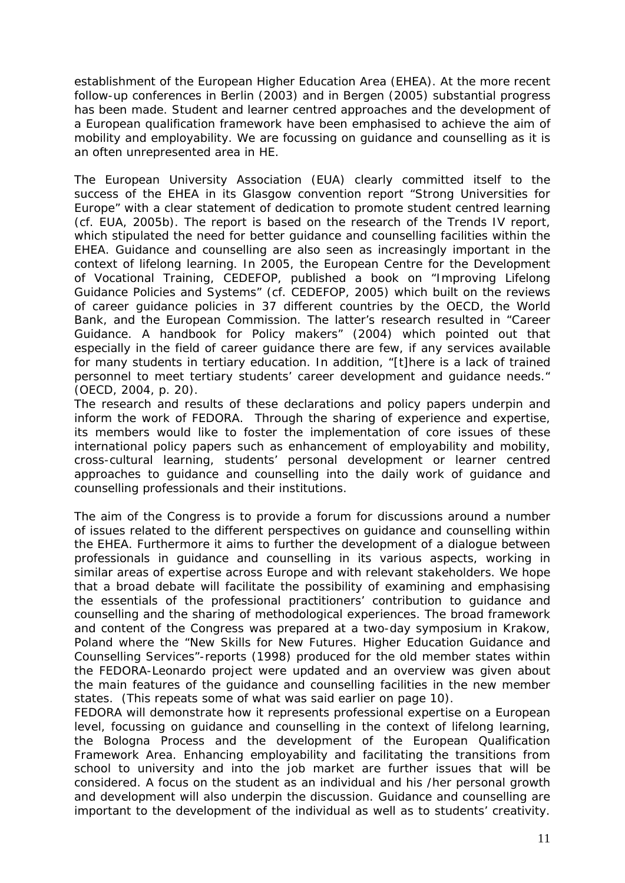establishment of the European Higher Education Area (EHEA). At the more recent follow-up conferences in Berlin (2003) and in Bergen (2005) substantial progress has been made. Student and learner centred approaches and the development of a European qualification framework have been emphasised to achieve the aim of mobility and employability. We are focussing on guidance and counselling as it is an often unrepresented area in HE.

The European University Association (EUA) clearly committed itself to the success of the EHEA in its Glasgow convention report "Strong Universities for Europe" with a clear statement of dedication to promote student centred learning (cf. EUA, 2005b). The report is based on the research of the Trends IV report, which stipulated the need for better guidance and counselling facilities within the EHEA. Guidance and counselling are also seen as increasingly important in the context of lifelong learning. In 2005, the European Centre for the Development of Vocational Training, CEDEFOP, published a book on "Improving Lifelong Guidance Policies and Systems" (cf. CEDEFOP, 2005) which built on the reviews of career guidance policies in 37 different countries by the OECD, the World Bank, and the European Commission. The latter's research resulted in "Career Guidance. A handbook for Policy makers" (2004) which pointed out that especially in the field of career guidance there are few, if any services available for many students in tertiary education. In addition, "[t]here is a lack of trained personnel to meet tertiary students' career development and guidance needs." (OECD, 2004, p. 20).

The research and results of these declarations and policy papers underpin and inform the work of FEDORA. Through the sharing of experience and expertise, its members would like to foster the implementation of core issues of these international policy papers such as enhancement of employability and mobility, cross-cultural learning, students' personal development or learner centred approaches to guidance and counselling into the daily work of guidance and counselling professionals and their institutions.

The aim of the Congress is to provide a forum for discussions around a number of issues related to the different perspectives on guidance and counselling within the EHEA. Furthermore it aims to further the development of a dialogue between professionals in guidance and counselling in its various aspects, working in similar areas of expertise across Europe and with relevant stakeholders. We hope that a broad debate will facilitate the possibility of examining and emphasising the essentials of the professional practitioners' contribution to guidance and counselling and the sharing of methodological experiences. The broad framework and content of the Congress was prepared at a two-day symposium in Krakow, Poland where the "New Skills for New Futures. Higher Education Guidance and Counselling Services"-reports (1998) produced for the old member states within the FEDORA-Leonardo project were updated and an overview was given about the main features of the guidance and counselling facilities in the new member states. (This repeats some of what was said earlier on page 10).

FEDORA will demonstrate how it represents professional expertise on a European level, focussing on guidance and counselling in the context of lifelong learning, the Bologna Process and the development of the European Qualification Framework Area. Enhancing employability and facilitating the transitions from school to university and into the job market are further issues that will be considered. A focus on the student as an individual and his /her personal growth and development will also underpin the discussion. Guidance and counselling are important to the development of the individual as well as to students' creativity.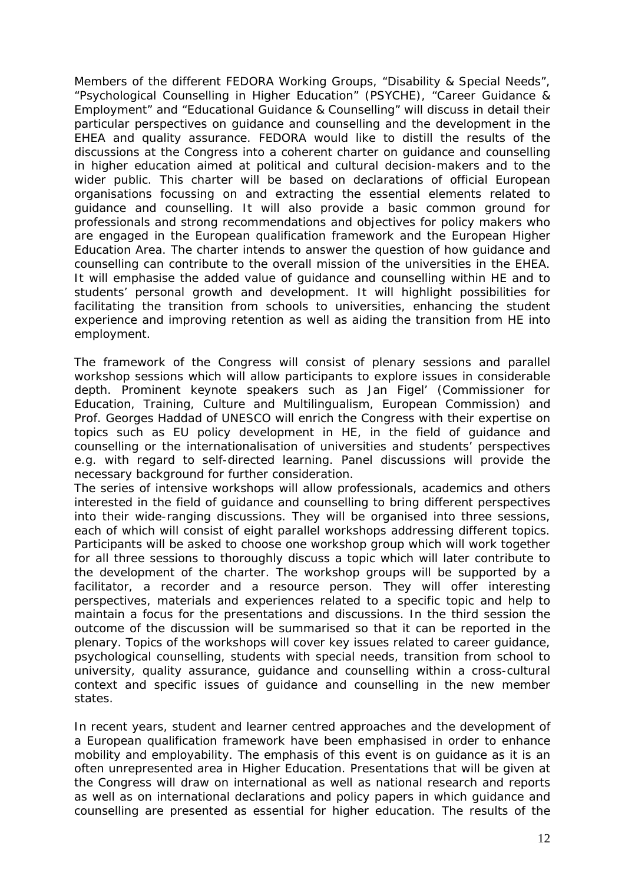Members of the different FEDORA Working Groups, "Disability & Special Needs", "Psychological Counselling in Higher Education" (PSYCHE), "Career Guidance & Employment" and "Educational Guidance & Counselling" will discuss in detail their particular perspectives on guidance and counselling and the development in the EHEA and quality assurance. FEDORA would like to distill the results of the discussions at the Congress into a coherent charter on guidance and counselling in higher education aimed at political and cultural decision-makers and to the wider public. This charter will be based on declarations of official European organisations focussing on and extracting the essential elements related to guidance and counselling. It will also provide a basic common ground for professionals and strong recommendations and objectives for policy makers who are engaged in the European qualification framework and the European Higher Education Area. The charter intends to answer the question of how guidance and counselling can contribute to the overall mission of the universities in the EHEA. It will emphasise the added value of guidance and counselling within HE and to students' personal growth and development. It will highlight possibilities for facilitating the transition from schools to universities, enhancing the student experience and improving retention as well as aiding the transition from HE into employment.

The framework of the Congress will consist of plenary sessions and parallel workshop sessions which will allow participants to explore issues in considerable depth. Prominent keynote speakers such as Jan Figel' (Commissioner for Education, Training, Culture and Multilingualism, European Commission) and Prof. Georges Haddad of UNESCO will enrich the Congress with their expertise on topics such as EU policy development in HE, in the field of guidance and counselling or the internationalisation of universities and students' perspectives e.g. with regard to self-directed learning. Panel discussions will provide the necessary background for further consideration.

The series of intensive workshops will allow professionals, academics and others interested in the field of guidance and counselling to bring different perspectives into their wide-ranging discussions. They will be organised into three sessions, each of which will consist of eight parallel workshops addressing different topics. Participants will be asked to choose one workshop group which will work together for all three sessions to thoroughly discuss a topic which will later contribute to the development of the charter. The workshop groups will be supported by a facilitator, a recorder and a resource person. They will offer interesting perspectives, materials and experiences related to a specific topic and help to maintain a focus for the presentations and discussions. In the third session the outcome of the discussion will be summarised so that it can be reported in the plenary. Topics of the workshops will cover key issues related to career guidance, psychological counselling, students with special needs, transition from school to university, quality assurance, guidance and counselling within a cross-cultural context and specific issues of guidance and counselling in the new member states.

In recent years, student and learner centred approaches and the development of a European qualification framework have been emphasised in order to enhance mobility and employability. The emphasis of this event is on guidance as it is an often unrepresented area in Higher Education. Presentations that will be given at the Congress will draw on international as well as national research and reports as well as on international declarations and policy papers in which guidance and counselling are presented as essential for higher education. The results of the